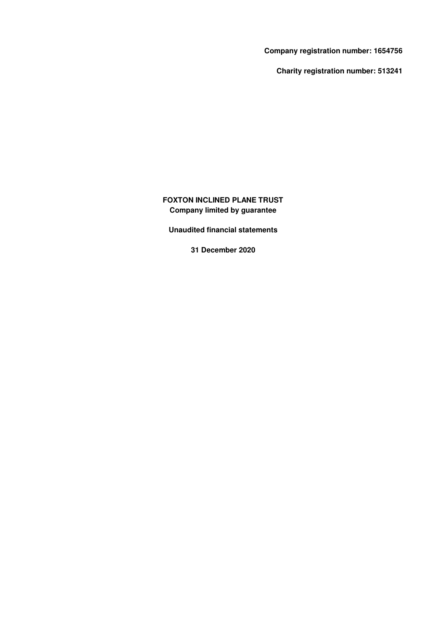**Company registration number: 1654756**

**Charity registration number: 513241**

# **FOXTON INCLINED PLANE TRUST Company limited by guarantee**

**Unaudited financial statements**

**31 December 2020**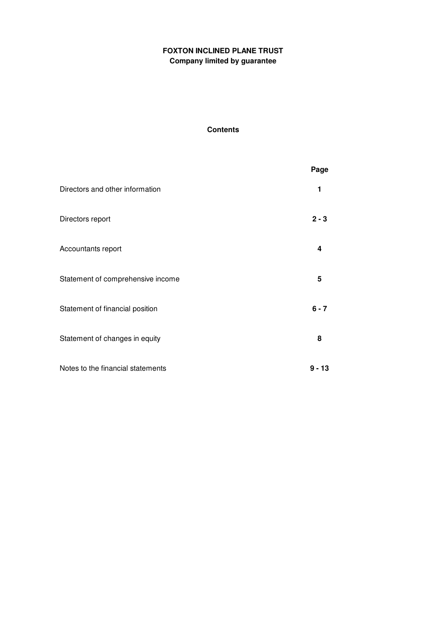# **Contents**

|                                   | Page    |
|-----------------------------------|---------|
| Directors and other information   | 1       |
| Directors report                  | $2 - 3$ |
| Accountants report                | 4       |
| Statement of comprehensive income | 5       |
| Statement of financial position   | $6 - 7$ |
| Statement of changes in equity    | 8       |
| Notes to the financial statements | 9 - 13  |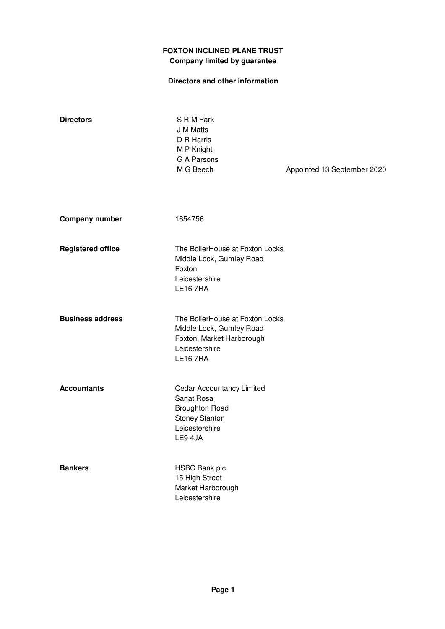# **Directors and other information**

| <b>Directors</b>         | S R M Park<br>J M Matts<br>D R Harris<br>M P Knight<br>G A Parsons<br>M G Beech                                              | Appointed 13 September 2020 |
|--------------------------|------------------------------------------------------------------------------------------------------------------------------|-----------------------------|
| <b>Company number</b>    | 1654756                                                                                                                      |                             |
| <b>Registered office</b> | The BoilerHouse at Foxton Locks<br>Middle Lock, Gumley Road<br>Foxton<br>Leicestershire<br><b>LE167RA</b>                    |                             |
| <b>Business address</b>  | The BoilerHouse at Foxton Locks<br>Middle Lock, Gumley Road<br>Foxton, Market Harborough<br>Leicestershire<br><b>LE167RA</b> |                             |
| <b>Accountants</b>       | Cedar Accountancy Limited<br>Sanat Rosa<br><b>Broughton Road</b><br><b>Stoney Stanton</b><br>Leicestershire<br>LE9 4JA       |                             |
| <b>Bankers</b>           | <b>HSBC Bank plc</b><br>15 High Street<br>Market Harborough<br>Leicestershire                                                |                             |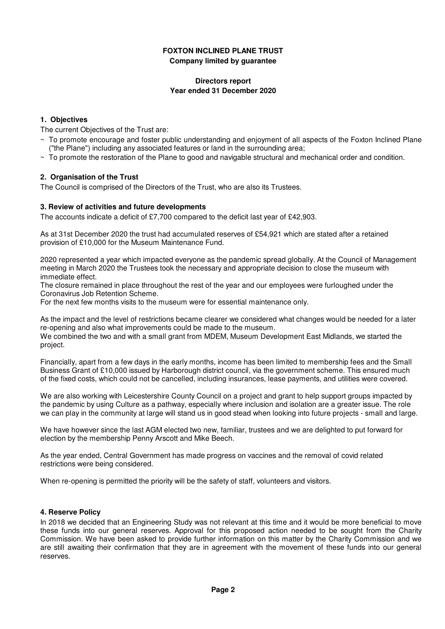### **Directors report Year ended 31 December 2020**

## **1. Objectives**

The current Objectives of the Trust are:

- ~ To promote encourage and foster public understanding and enjoyment of all aspects of the Foxton Inclined Plane ("the Plane") including any associated features or land in the surrounding area;
- $\sim$  To promote the restoration of the Plane to good and navigable structural and mechanical order and condition.

## **2. Organisation of the Trust**

The Council is comprised of the Directors of the Trust, who are also its Trustees.

### **3. Review of activities and future developments**

The accounts indicate a deficit of £7,700 compared to the deficit last year of £42,903.

As at 31st December 2020 the trust had accumulated reserves of £54,921 which are stated after a retained provision of £10,000 for the Museum Maintenance Fund.

2020 represented a year which impacted everyone as the pandemic spread globally. At the Council of Management meeting in March 2020 the Trustees took the necessary and appropriate decision to close the museum with immediate effect.

The closure remained in place throughout the rest of the year and our employees were furloughed under the Coronavirus Job Retention Scheme.

For the next few months visits to the museum were for essential maintenance only.

As the impact and the level of restrictions became clearer we considered what changes would be needed for a later re-opening and also what improvements could be made to the museum.

We combined the two and with a small grant from MDEM, Museum Development East Midlands, we started the project.

Financially, apart from a few days in the early months, income has been limited to membership fees and the Small Business Grant of £10,000 issued by Harborough district council, via the government scheme. This ensured much of the fixed costs, which could not be cancelled, including insurances, lease payments, and utilities were covered.

We are also working with Leicestershire County Council on a project and grant to help support groups impacted by the pandemic by using Culture as a pathway, especially where inclusion and isolation are a greater issue. The role we can play in the community at large will stand us in good stead when looking into future projects - small and large.

We have however since the last AGM elected two new, familiar, trustees and we are delighted to put forward for election by the membership Penny Arscott and Mike Beech.

As the year ended, Central Government has made progress on vaccines and the removal of covid related restrictions were being considered.

When re-opening is permitted the priority will be the safety of staff, volunteers and visitors.

### **4. Reserve Policy**

In 2018 we decided that an Engineering Study was not relevant at this time and it would be more beneficial to move these funds into our general reserves. Approval for this proposed action needed to be sought from the Charity Commission. We have been asked to provide further information on this matter by the Charity Commission and we are still awaiting their confirmation that they are in agreement with the movement of these funds into our general reserves.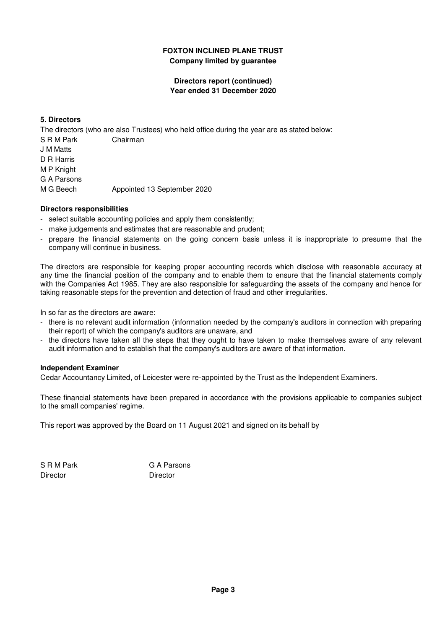## **Directors report (continued) Year ended 31 December 2020**

## **5. Directors**

The directors (who are also Trustees) who held office during the year are as stated below:

- S R M Park Chairman
- J M Matts
- D R Harris
- M P Knight
- G A Parsons

M G Beech Appointed 13 September 2020

## **Directors responsibilities**

- select suitable accounting policies and apply them consistently;
- make judgements and estimates that are reasonable and prudent;
- prepare the financial statements on the going concern basis unless it is inappropriate to presume that the company will continue in business.

The directors are responsible for keeping proper accounting records which disclose with reasonable accuracy at any time the financial position of the company and to enable them to ensure that the financial statements comply with the Companies Act 1985. They are also responsible for safeguarding the assets of the company and hence for taking reasonable steps for the prevention and detection of fraud and other irregularities.

In so far as the directors are aware:

- there is no relevant audit information (information needed by the company's auditors in connection with preparing their report) of which the company's auditors are unaware, and
- the directors have taken all the steps that they ought to have taken to make themselves aware of any relevant audit information and to establish that the company's auditors are aware of that information.

### **Independent Examiner**

Cedar Accountancy Limited, of Leicester were re-appointed by the Trust as the Independent Examiners.

These financial statements have been prepared in accordance with the provisions applicable to companies subject to the small companies' regime.

This report was approved by the Board on 11 August 2021 and signed on its behalf by

Director Director

S R M Park G A Parsons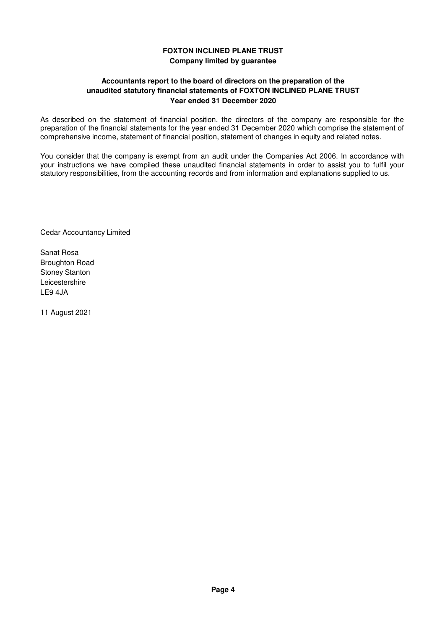## **Accountants report to the board of directors on the preparation of the unaudited statutory financial statements of FOXTON INCLINED PLANE TRUST Year ended 31 December 2020**

As described on the statement of financial position, the directors of the company are responsible for the preparation of the financial statements for the year ended 31 December 2020 which comprise the statement of comprehensive income, statement of financial position, statement of changes in equity and related notes.

You consider that the company is exempt from an audit under the Companies Act 2006. In accordance with your instructions we have compiled these unaudited financial statements in order to assist you to fulfil your statutory responsibilities, from the accounting records and from information and explanations supplied to us.

Cedar Accountancy Limited

Sanat Rosa Broughton Road Stoney Stanton Leicestershire LE9 4JA

11 August 2021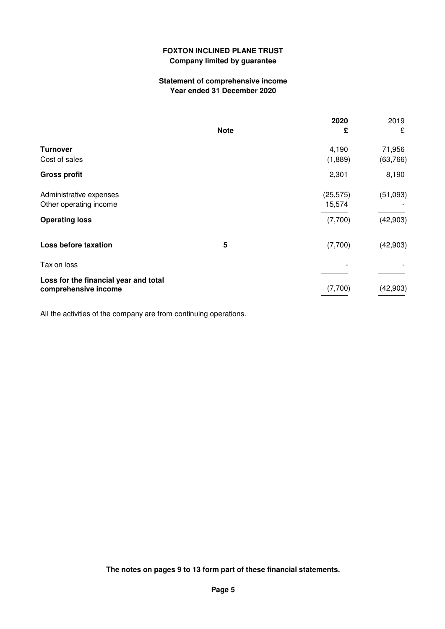## **Statement of comprehensive income Year ended 31 December 2020**

|                                                               |             | 2020      | 2019      |
|---------------------------------------------------------------|-------------|-----------|-----------|
|                                                               | <b>Note</b> | £         | £         |
| <b>Turnover</b>                                               |             | 4,190     | 71,956    |
| Cost of sales                                                 |             | (1,889)   | (63, 766) |
| <b>Gross profit</b>                                           |             | 2,301     | 8,190     |
| Administrative expenses                                       |             | (25, 575) | (51,093)  |
| Other operating income                                        |             | 15,574    |           |
| <b>Operating loss</b>                                         |             | (7,700)   | (42,903)  |
| Loss before taxation                                          | 5           | (7,700)   | (42, 903) |
| Tax on loss                                                   |             |           |           |
| Loss for the financial year and total<br>comprehensive income |             | (7,700)   | (42, 903) |

All the activities of the company are from continuing operations.

**The notes on pages 9 to 13 form part of these financial statements.**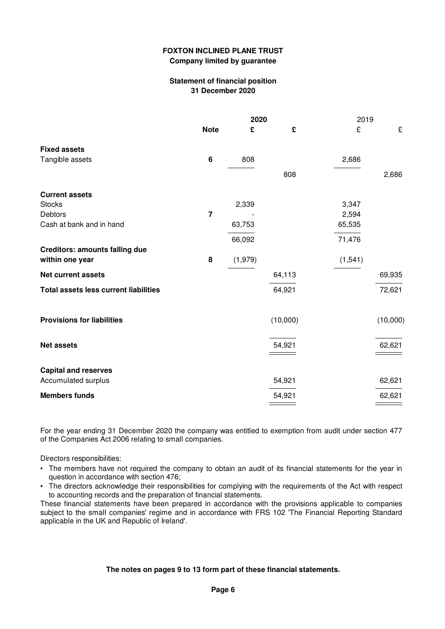### **Statement of financial position 31 December 2020**

|                                              | 2020           |         | 2019     |          |          |
|----------------------------------------------|----------------|---------|----------|----------|----------|
|                                              | <b>Note</b>    | £       | £        | £        | £        |
| <b>Fixed assets</b>                          |                |         |          |          |          |
| Tangible assets                              | 6              | 808     |          | 2,686    |          |
|                                              |                |         | 808      |          | 2,686    |
| <b>Current assets</b>                        |                |         |          |          |          |
| <b>Stocks</b>                                |                | 2,339   |          | 3,347    |          |
| Debtors                                      | $\overline{7}$ |         |          | 2,594    |          |
| Cash at bank and in hand                     |                | 63,753  |          | 65,535   |          |
|                                              |                | 66,092  |          | 71,476   |          |
| <b>Creditors: amounts falling due</b>        |                |         |          |          |          |
| within one year                              | 8              | (1,979) |          | (1, 541) |          |
| <b>Net current assets</b>                    |                |         | 64,113   |          | 69,935   |
| <b>Total assets less current liabilities</b> |                |         | 64,921   |          | 72,621   |
| <b>Provisions for liabilities</b>            |                |         | (10,000) |          | (10,000) |
| <b>Net assets</b>                            |                |         | 54,921   |          | 62,621   |
| <b>Capital and reserves</b>                  |                |         |          |          |          |
| Accumulated surplus                          |                |         | 54,921   |          | 62,621   |
| <b>Members funds</b>                         |                |         | 54,921   |          | 62,621   |
|                                              |                |         |          |          |          |

For the year ending 31 December 2020 the company was entitled to exemption from audit under section 477 of the Companies Act 2006 relating to small companies.

Directors responsibilities:

- The members have not required the company to obtain an audit of its financial statements for the year in question in accordance with section 476;
- The directors acknowledge their responsibilities for complying with the requirements of the Act with respect to accounting records and the preparation of financial statements.

These financial statements have been prepared in accordance with the provisions applicable to companies subject to the small companies' regime and in accordance with FRS 102 'The Financial Reporting Standard applicable in the UK and Republic of Ireland'.

### **The notes on pages 9 to 13 form part of these financial statements.**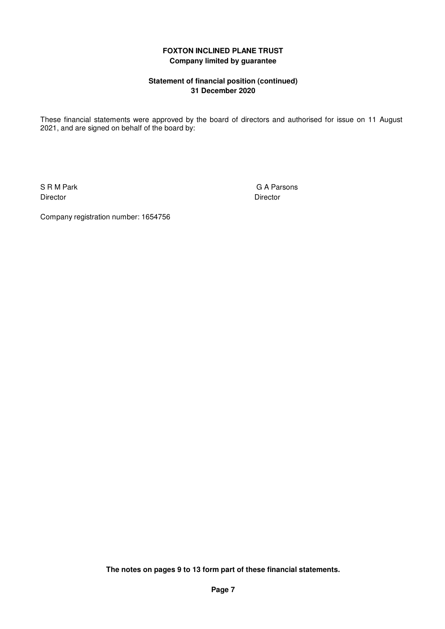## **Statement of financial position (continued) 31 December 2020**

These financial statements were approved by the board of directors and authorised for issue on 11 August 2021, and are signed on behalf of the board by:

Director **Director** Director

S R M Park G A Parsons

Company registration number: 1654756

**The notes on pages 9 to 13 form part of these financial statements.**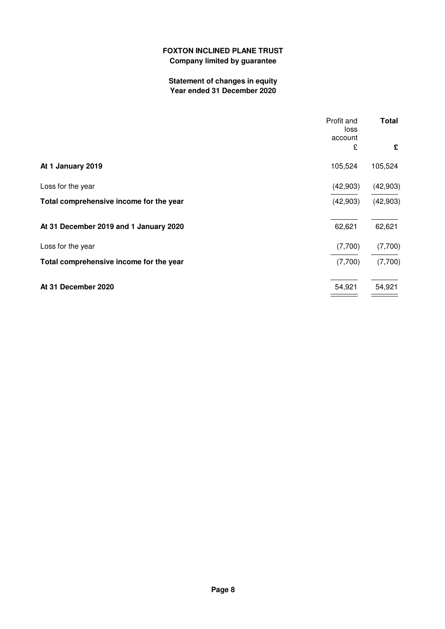# **Statement of changes in equity Year ended 31 December 2020**

| Profit and<br>account                               | <b>Total</b><br>loss |
|-----------------------------------------------------|----------------------|
|                                                     | £<br>£               |
| At 1 January 2019<br>105,524                        | 105,524              |
| Loss for the year<br>(42,903)                       | (42,903)             |
| Total comprehensive income for the year<br>(42,903) | (42,903)             |
| 62,621<br>At 31 December 2019 and 1 January 2020    | 62,621               |
| Loss for the year<br>(7,700)                        | (7,700)              |
| Total comprehensive income for the year<br>(7,700)  | (7,700)              |
| At 31 December 2020<br>54,921                       | 54,921               |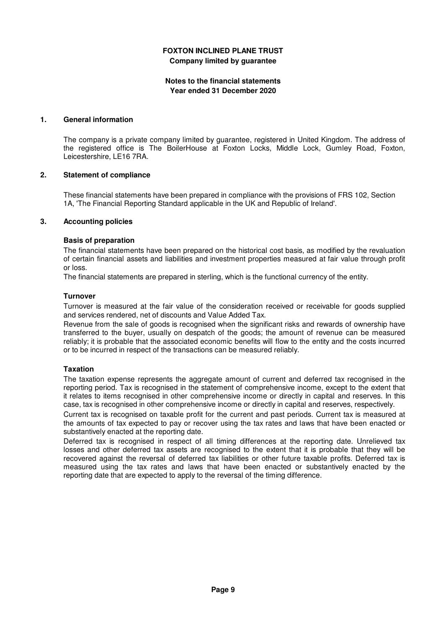### **Notes to the financial statements Year ended 31 December 2020**

#### **1. General information**

The company is a private company limited by guarantee, registered in United Kingdom. The address of the registered office is The BoilerHouse at Foxton Locks, Middle Lock, Gumley Road, Foxton, Leicestershire, LE16 7RA.

#### **2. Statement of compliance**

These financial statements have been prepared in compliance with the provisions of FRS 102, Section 1A, 'The Financial Reporting Standard applicable in the UK and Republic of Ireland'.

#### **3. Accounting policies**

#### **Basis of preparation**

The financial statements have been prepared on the historical cost basis, as modified by the revaluation of certain financial assets and liabilities and investment properties measured at fair value through profit or loss.

The financial statements are prepared in sterling, which is the functional currency of the entity.

#### **Turnover**

Turnover is measured at the fair value of the consideration received or receivable for goods supplied and services rendered, net of discounts and Value Added Tax.

Revenue from the sale of goods is recognised when the significant risks and rewards of ownership have transferred to the buyer, usually on despatch of the goods; the amount of revenue can be measured reliably; it is probable that the associated economic benefits will flow to the entity and the costs incurred or to be incurred in respect of the transactions can be measured reliably.

### **Taxation**

The taxation expense represents the aggregate amount of current and deferred tax recognised in the reporting period. Tax is recognised in the statement of comprehensive income, except to the extent that it relates to items recognised in other comprehensive income or directly in capital and reserves. In this case, tax is recognised in other comprehensive income or directly in capital and reserves, respectively.

Current tax is recognised on taxable profit for the current and past periods. Current tax is measured at the amounts of tax expected to pay or recover using the tax rates and laws that have been enacted or substantively enacted at the reporting date.

Deferred tax is recognised in respect of all timing differences at the reporting date. Unrelieved tax losses and other deferred tax assets are recognised to the extent that it is probable that they will be recovered against the reversal of deferred tax liabilities or other future taxable profits. Deferred tax is measured using the tax rates and laws that have been enacted or substantively enacted by the reporting date that are expected to apply to the reversal of the timing difference.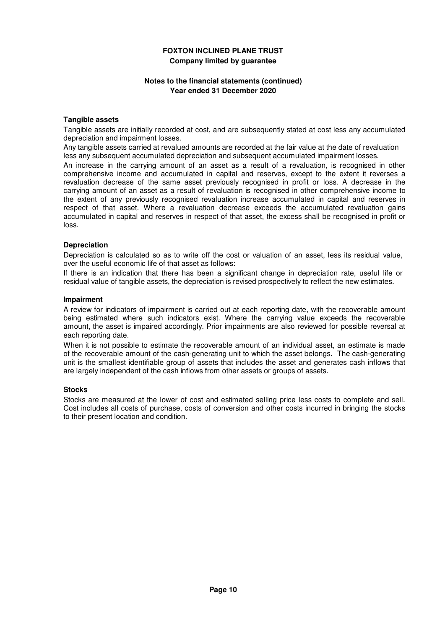### **Notes to the financial statements (continued) Year ended 31 December 2020**

#### **Tangible assets**

Tangible assets are initially recorded at cost, and are subsequently stated at cost less any accumulated depreciation and impairment losses.

Any tangible assets carried at revalued amounts are recorded at the fair value at the date of revaluation less any subsequent accumulated depreciation and subsequent accumulated impairment losses.

An increase in the carrying amount of an asset as a result of a revaluation, is recognised in other comprehensive income and accumulated in capital and reserves, except to the extent it reverses a revaluation decrease of the same asset previously recognised in profit or loss. A decrease in the carrying amount of an asset as a result of revaluation is recognised in other comprehensive income to the extent of any previously recognised revaluation increase accumulated in capital and reserves in respect of that asset. Where a revaluation decrease exceeds the accumulated revaluation gains accumulated in capital and reserves in respect of that asset, the excess shall be recognised in profit or loss.

#### **Depreciation**

Depreciation is calculated so as to write off the cost or valuation of an asset, less its residual value, over the useful economic life of that asset as follows:

If there is an indication that there has been a significant change in depreciation rate, useful life or residual value of tangible assets, the depreciation is revised prospectively to reflect the new estimates.

#### **Impairment**

A review for indicators of impairment is carried out at each reporting date, with the recoverable amount being estimated where such indicators exist. Where the carrying value exceeds the recoverable amount, the asset is impaired accordingly. Prior impairments are also reviewed for possible reversal at each reporting date.

When it is not possible to estimate the recoverable amount of an individual asset, an estimate is made of the recoverable amount of the cash-generating unit to which the asset belongs. The cash-generating unit is the smallest identifiable group of assets that includes the asset and generates cash inflows that are largely independent of the cash inflows from other assets or groups of assets.

#### **Stocks**

Stocks are measured at the lower of cost and estimated selling price less costs to complete and sell. Cost includes all costs of purchase, costs of conversion and other costs incurred in bringing the stocks to their present location and condition.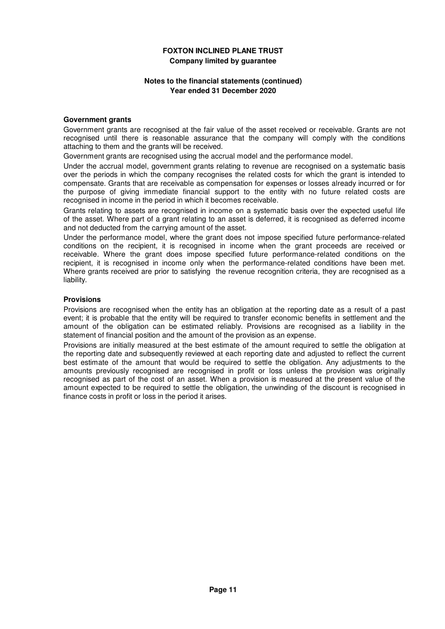### **Notes to the financial statements (continued) Year ended 31 December 2020**

#### **Government grants**

Government grants are recognised at the fair value of the asset received or receivable. Grants are not recognised until there is reasonable assurance that the company will comply with the conditions attaching to them and the grants will be received.

Government grants are recognised using the accrual model and the performance model.

Under the accrual model, government grants relating to revenue are recognised on a systematic basis over the periods in which the company recognises the related costs for which the grant is intended to compensate. Grants that are receivable as compensation for expenses or losses already incurred or for the purpose of giving immediate financial support to the entity with no future related costs are recognised in income in the period in which it becomes receivable.

Grants relating to assets are recognised in income on a systematic basis over the expected useful life of the asset. Where part of a grant relating to an asset is deferred, it is recognised as deferred income and not deducted from the carrying amount of the asset.

Under the performance model, where the grant does not impose specified future performance-related conditions on the recipient, it is recognised in income when the grant proceeds are received or receivable. Where the grant does impose specified future performance-related conditions on the recipient, it is recognised in income only when the performance-related conditions have been met. Where grants received are prior to satisfying the revenue recognition criteria, they are recognised as a liability.

#### **Provisions**

Provisions are recognised when the entity has an obligation at the reporting date as a result of a past event; it is probable that the entity will be required to transfer economic benefits in settlement and the amount of the obligation can be estimated reliably. Provisions are recognised as a liability in the statement of financial position and the amount of the provision as an expense.

Provisions are initially measured at the best estimate of the amount required to settle the obligation at the reporting date and subsequently reviewed at each reporting date and adjusted to reflect the current best estimate of the amount that would be required to settle the obligation. Any adjustments to the amounts previously recognised are recognised in profit or loss unless the provision was originally recognised as part of the cost of an asset. When a provision is measured at the present value of the amount expected to be required to settle the obligation, the unwinding of the discount is recognised in finance costs in profit or loss in the period it arises.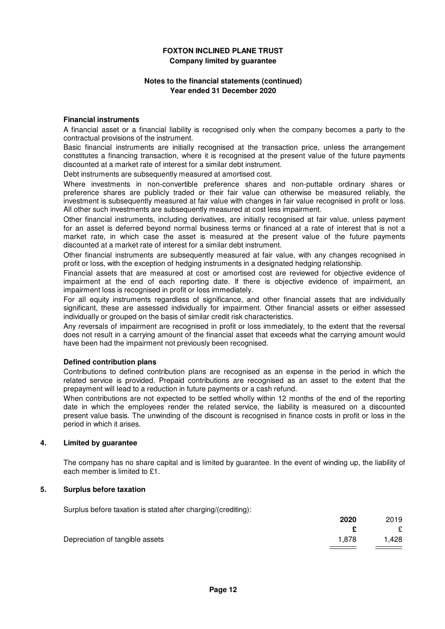### **Notes to the financial statements (continued) Year ended 31 December 2020**

#### **Financial instruments**

A financial asset or a financial liability is recognised only when the company becomes a party to the contractual provisions of the instrument.

Basic financial instruments are initially recognised at the transaction price, unless the arrangement constitutes a financing transaction, where it is recognised at the present value of the future payments discounted at a market rate of interest for a similar debt instrument.

Debt instruments are subsequently measured at amortised cost.

Where investments in non-convertible preference shares and non-puttable ordinary shares or preference shares are publicly traded or their fair value can otherwise be measured reliably, the investment is subsequently measured at fair value with changes in fair value recognised in profit or loss. All other such investments are subsequently measured at cost less impairment.

Other financial instruments, including derivatives, are initially recognised at fair value, unless payment for an asset is deferred beyond normal business terms or financed at a rate of interest that is not a market rate, in which case the asset is measured at the present value of the future payments discounted at a market rate of interest for a similar debt instrument.

Other financial instruments are subsequently measured at fair value, with any changes recognised in profit or loss, with the exception of hedging instruments in a designated hedging relationship.

Financial assets that are measured at cost or amortised cost are reviewed for objective evidence of impairment at the end of each reporting date. If there is objective evidence of impairment, an impairment loss is recognised in profit or loss immediately.

For all equity instruments regardless of significance, and other financial assets that are individually significant, these are assessed individually for impairment. Other financial assets or either assessed individually or grouped on the basis of similar credit risk characteristics.

Any reversals of impairment are recognised in profit or loss immediately, to the extent that the reversal does not result in a carrying amount of the financial asset that exceeds what the carrying amount would have been had the impairment not previously been recognised.

#### **Defined contribution plans**

Contributions to defined contribution plans are recognised as an expense in the period in which the related service is provided. Prepaid contributions are recognised as an asset to the extent that the prepayment will lead to a reduction in future payments or a cash refund.

When contributions are not expected to be settled wholly within 12 months of the end of the reporting date in which the employees render the related service, the liability is measured on a discounted present value basis. The unwinding of the discount is recognised in finance costs in profit or loss in the period in which it arises.

#### **4. Limited by guarantee**

The company has no share capital and is limited by guarantee. In the event of winding up, the liability of each member is limited to £1.

#### **5. Surplus before taxation**

Surplus before taxation is stated after charging/(crediting):

|                                 | 2020  | 2019  |
|---------------------------------|-------|-------|
|                                 |       | £     |
| Depreciation of tangible assets | 1.878 | 1,428 |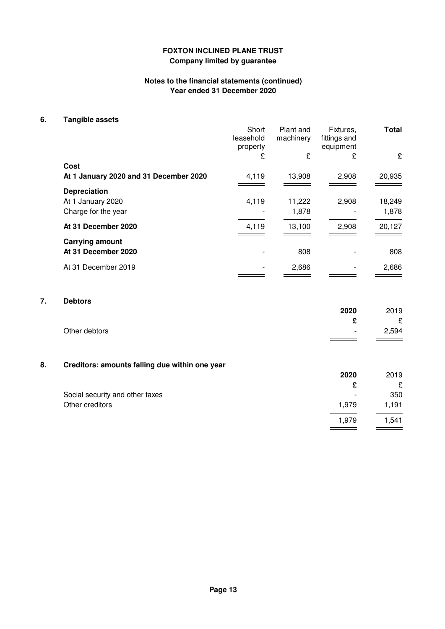## **Notes to the financial statements (continued) Year ended 31 December 2020**

## **6. Tangible assets**

|                                        | Short<br>leasehold<br>property | Plant and<br>machinery | Fixtures,<br>fittings and<br>equipment | <b>Total</b> |
|----------------------------------------|--------------------------------|------------------------|----------------------------------------|--------------|
|                                        | £                              | £                      | £                                      | £            |
| Cost                                   |                                |                        |                                        |              |
| At 1 January 2020 and 31 December 2020 | 4,119                          | 13,908                 | 2,908                                  | 20,935       |
| <b>Depreciation</b>                    |                                |                        |                                        |              |
| At 1 January 2020                      | 4,119                          | 11,222                 | 2,908                                  | 18,249       |
| Charge for the year                    |                                | 1,878                  |                                        | 1,878        |
| At 31 December 2020                    | 4,119                          | 13,100                 | 2,908                                  | 20,127       |
| <b>Carrying amount</b>                 |                                |                        |                                        |              |
| At 31 December 2020                    |                                | 808                    |                                        | 808          |
| At 31 December 2019                    |                                | 2,686                  |                                        | 2,686        |
|                                        |                                |                        |                                        |              |

# **7. Debtors**

|               | 2020   | 2019  |
|---------------|--------|-------|
|               | ◠      | £     |
| Other debtors | $\sim$ | 2,594 |

## **8. Creditors: amounts falling due within one year**

|                                 | 2020                     | 2019  |
|---------------------------------|--------------------------|-------|
|                                 |                          | £     |
| Social security and other taxes | $\overline{\phantom{a}}$ | 350   |
| Other creditors                 | 1,979                    | 1,191 |
|                                 | 1.979                    | 1,541 |
|                                 |                          |       |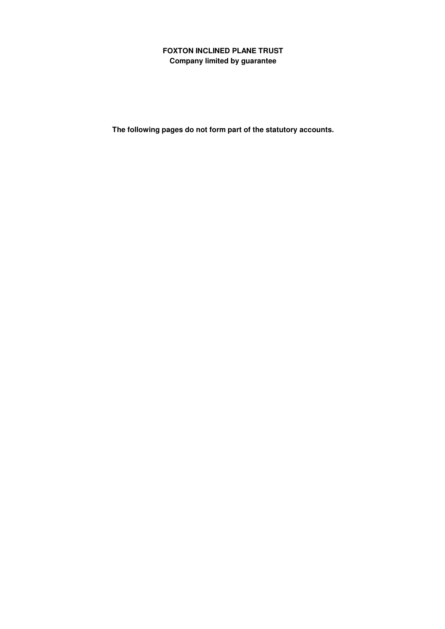**The following pages do not form part of the statutory accounts.**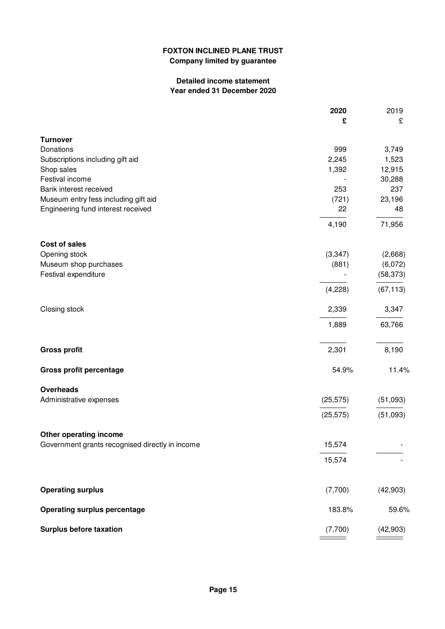## **Detailed income statement Year ended 31 December 2020**

|                                                 | 2020<br>£      | 2019<br>£        |
|-------------------------------------------------|----------------|------------------|
|                                                 |                |                  |
| <b>Turnover</b>                                 |                |                  |
| Donations                                       | 999            | 3,749            |
| Subscriptions including gift aid                | 2,245<br>1,392 | 1,523            |
| Shop sales<br>Festival income                   |                | 12,915<br>30,288 |
| Bank interest received                          | 253            | 237              |
| Museum entry fess including gift aid            | (721)          | 23,196           |
| Engineering fund interest received              | 22             | 48               |
|                                                 |                |                  |
|                                                 | 4,190          | 71,956           |
| <b>Cost of sales</b>                            |                |                  |
| Opening stock                                   | (3, 347)       | (2,668)          |
| Museum shop purchases                           | (881)          | (6,072)          |
| Festival expenditure                            |                | (58, 373)        |
|                                                 | (4,228)        | (67, 113)        |
| Closing stock                                   | 2,339          | 3,347            |
|                                                 | 1,889          | 63,766           |
| <b>Gross profit</b>                             | 2,301          | 8,190            |
| <b>Gross profit percentage</b>                  | 54.9%          | 11.4%            |
| <b>Overheads</b>                                |                |                  |
| Administrative expenses                         | (25, 575)      | (51,093)         |
|                                                 | (25, 575)      | (51,093)         |
| Other operating income                          |                |                  |
| Government grants recognised directly in income | 15,574         |                  |
|                                                 | 15,574         |                  |
| <b>Operating surplus</b>                        | (7,700)        | (42, 903)        |
|                                                 |                |                  |
| <b>Operating surplus percentage</b>             | 183.8%         | 59.6%            |
| <b>Surplus before taxation</b>                  | (7,700)        | (42, 903)        |